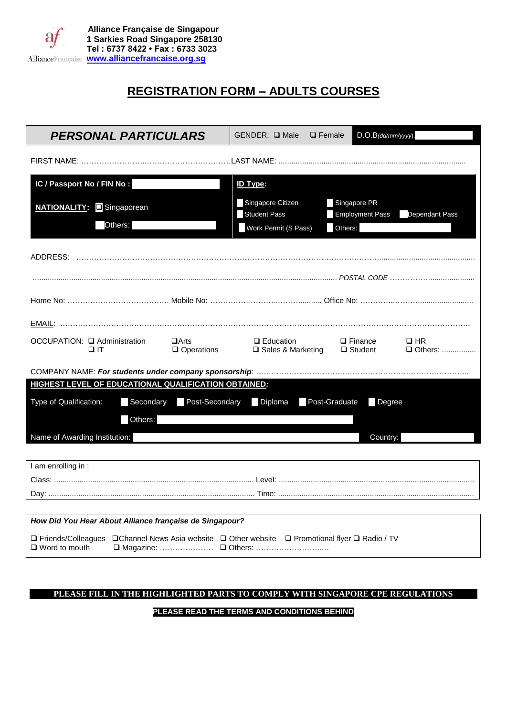

# **REGISTRATION FORM – ADULTS COURSES**

| <b>PERSONAL PARTICULARS</b>                                                                                               |                                  | GENDER: □ Male                           | $\Box$ Female                          | $D.O.B$ (dd/mm/yyyy):  |
|---------------------------------------------------------------------------------------------------------------------------|----------------------------------|------------------------------------------|----------------------------------------|------------------------|
|                                                                                                                           |                                  |                                          |                                        |                        |
| IC / Passport No / FIN No :                                                                                               |                                  | <b>ID Type:</b>                          |                                        |                        |
| <b>NATIONALITY:</b> Singaporean                                                                                           |                                  | Singapore Citizen<br><b>Student Pass</b> | Singapore PR<br><b>Employment Pass</b> | Dependant Pass         |
| Others:                                                                                                                   |                                  | Work Permit (S Pass)                     | Others:                                |                        |
|                                                                                                                           |                                  |                                          |                                        |                        |
|                                                                                                                           |                                  |                                          |                                        |                        |
|                                                                                                                           |                                  |                                          |                                        |                        |
|                                                                                                                           |                                  |                                          |                                        |                        |
| OCCUPATION: □ Administration<br>$\Box$ IT                                                                                 | $\Box$ Arts<br>$\Box$ Operations | $\Box$ Education<br>□ Sales & Marketing  | $\Box$ Finance<br>$\Box$ Student       | $\Box$ HR<br>□ Others: |
|                                                                                                                           |                                  |                                          |                                        |                        |
| HIGHEST LEVEL OF EDUCATIONAL QUALIFICATION OBTAINED:                                                                      |                                  |                                          |                                        |                        |
| Type of Qualification:<br>Secondary                                                                                       |                                  | Post-Secondary Diploma                   | Post-Graduate                          | Degree                 |
| Others:                                                                                                                   |                                  |                                          |                                        |                        |
| Name of Awarding Institution:                                                                                             |                                  |                                          |                                        | Country:               |
|                                                                                                                           |                                  |                                          |                                        |                        |
| I am enrolling in :                                                                                                       |                                  |                                          |                                        |                        |
|                                                                                                                           |                                  |                                          |                                        |                        |
|                                                                                                                           |                                  |                                          |                                        |                        |
| How Did You Hear About Alliance française de Singapour?                                                                   |                                  |                                          |                                        |                        |
| □ Friends/Colleagues □ Channel News Asia website □ Other website □ Promotional flyer □ Radio / TV<br>$\Box$ Word to mouth |                                  |                                          |                                        |                        |

#### **PLEASE FILL IN THE HIGHLIGHTED PARTS TO COMPLY WITH SINGAPORE CPE REGULATIONS**

#### **PLEASE READ THE TERMS AND CONDITIONS BEHIND**